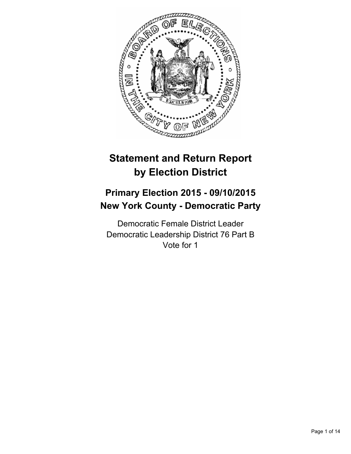

# **Statement and Return Report by Election District**

# **Primary Election 2015 - 09/10/2015 New York County - Democratic Party**

Democratic Female District Leader Democratic Leadership District 76 Part B Vote for 1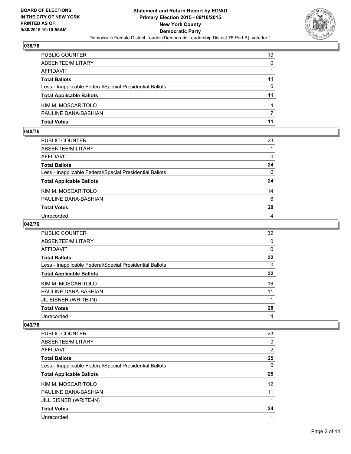

| PUBLIC COUNTER                                           | 10           |
|----------------------------------------------------------|--------------|
| ABSENTEE/MILITARY                                        | $\mathbf{0}$ |
| AFFIDAVIT                                                |              |
| Total Ballots                                            | 11           |
| Less - Inapplicable Federal/Special Presidential Ballots | $\Omega$     |
| <b>Total Applicable Ballots</b>                          | 11           |
| KIM M. MOSCARITOLO                                       | 4            |
| PAULINE DANA-BASHIAN                                     | 7            |
| Total Votes                                              | 11           |

## **040/76**

| PUBLIC COUNTER                                           | 23           |
|----------------------------------------------------------|--------------|
| ABSENTEE/MILITARY                                        |              |
| AFFIDAVIT                                                | 0            |
| <b>Total Ballots</b>                                     | 24           |
| Less - Inapplicable Federal/Special Presidential Ballots | $\mathbf{0}$ |
| <b>Total Applicable Ballots</b>                          | 24           |
| KIM M. MOSCARITOLO                                       | 14           |
| PAULINE DANA-BASHIAN                                     | 6            |
| <b>Total Votes</b>                                       | 20           |
| Unrecorded                                               | 4            |
|                                                          |              |

# **042/76**

| PUBLIC COUNTER                                           | 32 |
|----------------------------------------------------------|----|
| ABSENTEE/MILITARY                                        | 0  |
| <b>AFFIDAVIT</b>                                         | 0  |
| <b>Total Ballots</b>                                     | 32 |
| Less - Inapplicable Federal/Special Presidential Ballots | 0  |
| <b>Total Applicable Ballots</b>                          | 32 |
| KIM M. MOSCARITOLO                                       | 16 |
| PAULINE DANA-BASHIAN                                     | 11 |
| JIL EISNER (WRITE-IN)                                    |    |
| <b>Total Votes</b>                                       | 28 |
| Unrecorded                                               | 4  |

| <b>PUBLIC COUNTER</b>                                    | 23             |
|----------------------------------------------------------|----------------|
| ABSENTEE/MILITARY                                        | 0              |
| AFFIDAVIT                                                | $\overline{2}$ |
| <b>Total Ballots</b>                                     | 25             |
| Less - Inapplicable Federal/Special Presidential Ballots | 0              |
| <b>Total Applicable Ballots</b>                          | 25             |
| KIM M. MOSCARITOLO                                       | 12             |
| PAULINE DANA-BASHIAN                                     | 11             |
| JILL EISNER (WRITE-IN)                                   | 1              |
| <b>Total Votes</b>                                       | 24             |
| Unrecorded                                               | 1              |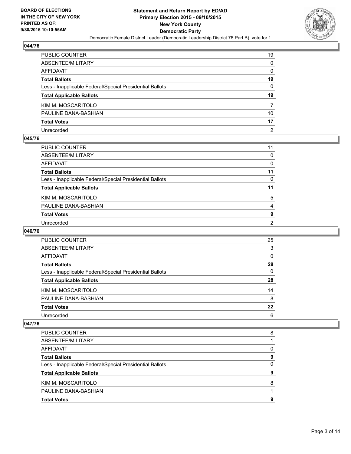

| PUBLIC COUNTER                                           | 19             |
|----------------------------------------------------------|----------------|
| ABSENTEE/MILITARY                                        | $\mathbf{0}$   |
| AFFIDAVIT                                                | $\Omega$       |
| Total Ballots                                            | 19             |
| Less - Inapplicable Federal/Special Presidential Ballots | 0              |
| <b>Total Applicable Ballots</b>                          | 19             |
| KIM M. MOSCARITOLO                                       | 7              |
| PAULINE DANA-BASHIAN                                     | 10             |
| <b>Total Votes</b>                                       | 17             |
| Unrecorded                                               | $\overline{2}$ |

#### **045/76**

| PUBLIC COUNTER                                           | 11 |
|----------------------------------------------------------|----|
| ABSENTEE/MILITARY                                        | 0  |
| AFFIDAVIT                                                | 0  |
| Total Ballots                                            | 11 |
| Less - Inapplicable Federal/Special Presidential Ballots | 0  |
| <b>Total Applicable Ballots</b>                          | 11 |
| KIM M. MOSCARITOLO                                       | 5  |
| PAULINE DANA-BASHIAN                                     | 4  |
| <b>Total Votes</b>                                       | 9  |
| Unrecorded                                               | 2  |

## **046/76**

| PUBLIC COUNTER                                           | 25       |
|----------------------------------------------------------|----------|
| ABSENTEE/MILITARY                                        | 3        |
| AFFIDAVIT                                                | 0        |
| <b>Total Ballots</b>                                     | 28       |
| Less - Inapplicable Federal/Special Presidential Ballots | $\Omega$ |
| <b>Total Applicable Ballots</b>                          | 28       |
| KIM M. MOSCARITOLO                                       | 14       |
| PAULINE DANA-BASHIAN                                     | 8        |
| <b>Total Votes</b>                                       | 22       |
| Unrecorded                                               | 6        |

| PUBLIC COUNTER                                           | 8 |
|----------------------------------------------------------|---|
| ABSENTEE/MILITARY                                        |   |
| AFFIDAVIT                                                | 0 |
| <b>Total Ballots</b>                                     | 9 |
| Less - Inapplicable Federal/Special Presidential Ballots | 0 |
| <b>Total Applicable Ballots</b>                          | 9 |
| KIM M. MOSCARITOLO                                       | 8 |
| PAULINE DANA-BASHIAN                                     |   |
| <b>Total Votes</b>                                       | 9 |
|                                                          |   |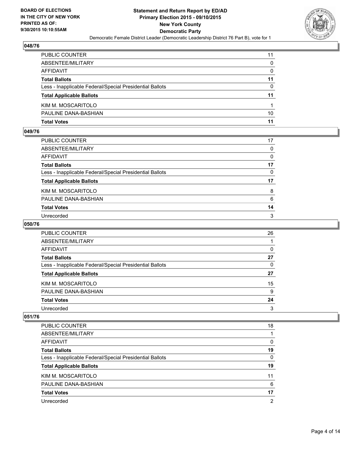

| PUBLIC COUNTER                                           | 11           |
|----------------------------------------------------------|--------------|
| ABSENTEE/MILITARY                                        | $\Omega$     |
| AFFIDAVIT                                                | $\mathbf{0}$ |
| Total Ballots                                            | 11           |
| Less - Inapplicable Federal/Special Presidential Ballots | $\mathbf{0}$ |
| <b>Total Applicable Ballots</b>                          | 11           |
| KIM M. MOSCARITOLO                                       |              |
| PAULINE DANA-BASHIAN                                     | 10           |
| Total Votes                                              | 11           |

## **049/76**

| PUBLIC COUNTER                                           | 17           |
|----------------------------------------------------------|--------------|
| ABSENTEE/MILITARY                                        | $\Omega$     |
| AFFIDAVIT                                                | 0            |
| Total Ballots                                            | 17           |
| Less - Inapplicable Federal/Special Presidential Ballots | $\mathbf{0}$ |
| <b>Total Applicable Ballots</b>                          | 17           |
| KIM M. MOSCARITOLO                                       | 8            |
| PAULINE DANA-BASHIAN                                     | 6            |
| <b>Total Votes</b>                                       | 14           |
| Unrecorded                                               | 3            |
|                                                          |              |

## **050/76**

| <b>PUBLIC COUNTER</b>                                    | 26 |
|----------------------------------------------------------|----|
| ABSENTEE/MILITARY                                        |    |
| AFFIDAVIT                                                | 0  |
| <b>Total Ballots</b>                                     | 27 |
| Less - Inapplicable Federal/Special Presidential Ballots | 0  |
| <b>Total Applicable Ballots</b>                          | 27 |
| KIM M. MOSCARITOLO                                       | 15 |
| PAULINE DANA-BASHIAN                                     | 9  |
| <b>Total Votes</b>                                       | 24 |
| Unrecorded                                               | 3  |

| PUBLIC COUNTER                                           | 18             |
|----------------------------------------------------------|----------------|
| ABSENTEE/MILITARY                                        |                |
| AFFIDAVIT                                                | 0              |
| <b>Total Ballots</b>                                     | 19             |
| Less - Inapplicable Federal/Special Presidential Ballots | $\Omega$       |
| <b>Total Applicable Ballots</b>                          | 19             |
| KIM M. MOSCARITOLO                                       | 11             |
| PAULINE DANA-BASHIAN                                     | 6              |
| <b>Total Votes</b>                                       | 17             |
| Unrecorded                                               | $\overline{2}$ |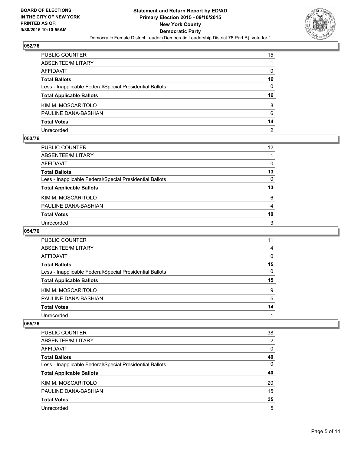

| PUBLIC COUNTER                                           | 15             |
|----------------------------------------------------------|----------------|
| ABSENTEE/MILITARY                                        |                |
| AFFIDAVIT                                                | $\mathbf{0}$   |
| Total Ballots                                            | 16             |
| Less - Inapplicable Federal/Special Presidential Ballots | 0              |
| <b>Total Applicable Ballots</b>                          | 16             |
| KIM M. MOSCARITOLO                                       | 8              |
| PAULINE DANA-BASHIAN                                     | 6              |
| <b>Total Votes</b>                                       | 14             |
| Unrecorded                                               | $\overline{2}$ |

## **053/76**

| PUBLIC COUNTER                                           | 12 <sup>2</sup> |
|----------------------------------------------------------|-----------------|
| ABSENTEE/MILITARY                                        |                 |
| AFFIDAVIT                                                | 0               |
| Total Ballots                                            | 13              |
| Less - Inapplicable Federal/Special Presidential Ballots | 0               |
| <b>Total Applicable Ballots</b>                          | 13              |
| KIM M. MOSCARITOLO                                       | 6               |
| PAULINE DANA-BASHIAN                                     | 4               |
| Total Votes                                              | 10              |
| Unrecorded                                               | 3               |

#### **054/76**

| PUBLIC COUNTER                                           | 11 |
|----------------------------------------------------------|----|
| ABSENTEE/MILITARY                                        | 4  |
| AFFIDAVIT                                                | 0  |
| <b>Total Ballots</b>                                     | 15 |
| Less - Inapplicable Federal/Special Presidential Ballots | 0  |
| <b>Total Applicable Ballots</b>                          | 15 |
| KIM M. MOSCARITOLO                                       | 9  |
| PAULINE DANA-BASHIAN                                     | 5  |
| <b>Total Votes</b>                                       | 14 |
| Unrecorded                                               |    |
|                                                          |    |

| PUBLIC COUNTER                                           | 38             |
|----------------------------------------------------------|----------------|
| ABSENTEE/MILITARY                                        | $\overline{2}$ |
| <b>AFFIDAVIT</b>                                         | 0              |
| <b>Total Ballots</b>                                     | 40             |
| Less - Inapplicable Federal/Special Presidential Ballots | $\Omega$       |
| <b>Total Applicable Ballots</b>                          | 40             |
| KIM M. MOSCARITOLO                                       | 20             |
| PAULINE DANA-BASHIAN                                     | 15             |
| <b>Total Votes</b>                                       | 35             |
| Unrecorded                                               | 5              |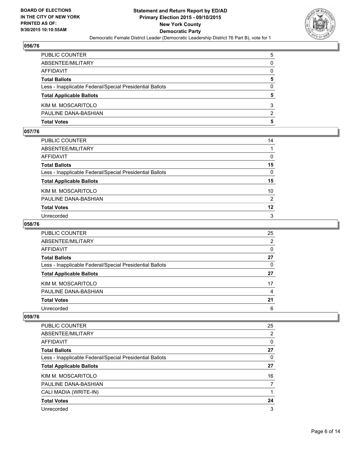

| PUBLIC COUNTER                                           | 5            |
|----------------------------------------------------------|--------------|
| ABSENTEE/MILITARY                                        | $\mathbf{0}$ |
| AFFIDAVIT                                                | $\mathbf{0}$ |
| Total Ballots                                            | 5            |
| Less - Inapplicable Federal/Special Presidential Ballots | $\mathbf{0}$ |
| <b>Total Applicable Ballots</b>                          | 5            |
| KIM M. MOSCARITOLO                                       | 3            |
| PAULINE DANA-BASHIAN                                     | 2            |
| Total Votes                                              | 5            |

## **057/76**

| PUBLIC COUNTER                                           | 14           |
|----------------------------------------------------------|--------------|
| ABSENTEE/MILITARY                                        |              |
| AFFIDAVIT                                                | $\Omega$     |
| Total Ballots                                            | 15           |
| Less - Inapplicable Federal/Special Presidential Ballots | $\mathbf{0}$ |
| <b>Total Applicable Ballots</b>                          | 15           |
| KIM M. MOSCARITOLO                                       | 10           |
| PAULINE DANA-BASHIAN                                     | 2            |
| <b>Total Votes</b>                                       | 12           |
| Unrecorded                                               | 3            |
|                                                          |              |

## **058/76**

| <b>PUBLIC COUNTER</b>                                    | 25 |
|----------------------------------------------------------|----|
| ABSENTEE/MILITARY                                        | 2  |
| AFFIDAVIT                                                | 0  |
| <b>Total Ballots</b>                                     | 27 |
| Less - Inapplicable Federal/Special Presidential Ballots | 0  |
| <b>Total Applicable Ballots</b>                          | 27 |
| KIM M. MOSCARITOLO                                       | 17 |
| PAULINE DANA-BASHIAN                                     | 4  |
| <b>Total Votes</b>                                       | 21 |
| Unrecorded                                               | 6  |

| <b>PUBLIC COUNTER</b>                                    | 25 |
|----------------------------------------------------------|----|
| ABSENTEE/MILITARY                                        | 2  |
| AFFIDAVIT                                                | 0  |
| <b>Total Ballots</b>                                     | 27 |
| Less - Inapplicable Federal/Special Presidential Ballots | 0  |
| <b>Total Applicable Ballots</b>                          | 27 |
| KIM M. MOSCARITOLO                                       | 16 |
| PAULINE DANA-BASHIAN                                     | 7  |
| CALI MADIA (WRITE-IN)                                    | 1  |
| <b>Total Votes</b>                                       | 24 |
| Unrecorded                                               | 3  |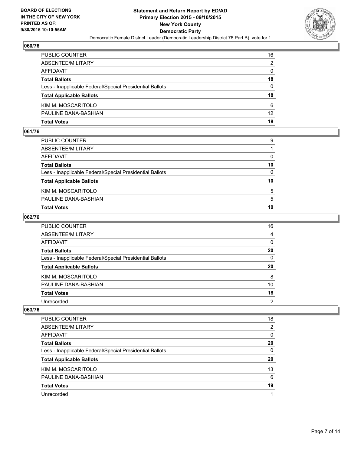

| PUBLIC COUNTER                                           | 16              |
|----------------------------------------------------------|-----------------|
| ABSENTEE/MILITARY                                        | 2               |
| AFFIDAVIT                                                | $\mathbf{0}$    |
| <b>Total Ballots</b>                                     | 18              |
| Less - Inapplicable Federal/Special Presidential Ballots | $\Omega$        |
| <b>Total Applicable Ballots</b>                          | 18              |
| KIM M. MOSCARITOLO                                       | 6               |
| PAULINE DANA-BASHIAN                                     | 12 <sup>2</sup> |
| Total Votes                                              | 18              |

## **061/76**

| Total Votes                                              | 10           |
|----------------------------------------------------------|--------------|
| PAULINE DANA-BASHIAN                                     | 5            |
| KIM M. MOSCARITOLO                                       | 5            |
| <b>Total Applicable Ballots</b>                          | 10           |
| Less - Inapplicable Federal/Special Presidential Ballots | $\mathbf{0}$ |
| Total Ballots                                            | 10           |
| AFFIDAVIT                                                | 0            |
| ABSENTEE/MILITARY                                        |              |
| PUBLIC COUNTER                                           | 9            |
|                                                          |              |

## **062/76**

| PUBLIC COUNTER                                           | 16           |
|----------------------------------------------------------|--------------|
| ABSENTEE/MILITARY                                        | 4            |
| <b>AFFIDAVIT</b>                                         | $\mathbf{0}$ |
| <b>Total Ballots</b>                                     | 20           |
| Less - Inapplicable Federal/Special Presidential Ballots | $\mathbf{0}$ |
| <b>Total Applicable Ballots</b>                          | 20           |
| KIM M. MOSCARITOLO                                       | 8            |
| PAULINE DANA-BASHIAN                                     | 10           |
| <b>Total Votes</b>                                       | 18           |
| Unrecorded                                               | 2            |

| <b>PUBLIC COUNTER</b>                                    | 18 |
|----------------------------------------------------------|----|
| ABSENTEE/MILITARY                                        | 2  |
| AFFIDAVIT                                                | 0  |
| <b>Total Ballots</b>                                     | 20 |
| Less - Inapplicable Federal/Special Presidential Ballots | 0  |
| <b>Total Applicable Ballots</b>                          | 20 |
| KIM M. MOSCARITOLO                                       | 13 |
| PAULINE DANA-BASHIAN                                     | 6  |
| <b>Total Votes</b>                                       | 19 |
|                                                          |    |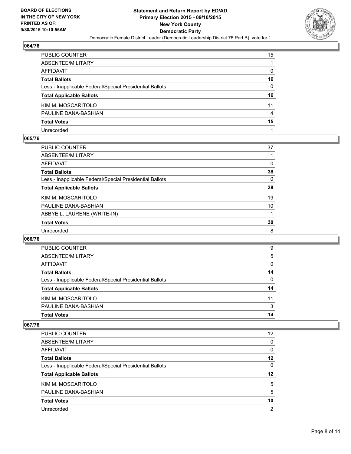

| PUBLIC COUNTER                                           | 15           |
|----------------------------------------------------------|--------------|
| ABSENTEE/MILITARY                                        |              |
| AFFIDAVIT                                                | $\mathbf{0}$ |
| Total Ballots                                            | 16           |
| Less - Inapplicable Federal/Special Presidential Ballots | 0            |
| <b>Total Applicable Ballots</b>                          | 16           |
| KIM M. MOSCARITOLO                                       | 11           |
| PAULINE DANA-BASHIAN                                     | 4            |
| <b>Total Votes</b>                                       | 15           |
| Unrecorded                                               |              |

#### **065/76**

| PUBLIC COUNTER                                           | 37 |
|----------------------------------------------------------|----|
| ABSENTEE/MILITARY                                        |    |
| AFFIDAVIT                                                | 0  |
| <b>Total Ballots</b>                                     | 38 |
| Less - Inapplicable Federal/Special Presidential Ballots | 0  |
| <b>Total Applicable Ballots</b>                          | 38 |
| KIM M. MOSCARITOLO                                       | 19 |
| PAULINE DANA-BASHIAN                                     | 10 |
| ABBYE L. LAURENE (WRITE-IN)                              |    |
| <b>Total Votes</b>                                       | 30 |
| Unrecorded                                               | 8  |
|                                                          |    |

#### **066/76**

| PUBLIC COUNTER                                           | 9  |
|----------------------------------------------------------|----|
| ABSENTEE/MILITARY                                        | 5  |
| AFFIDAVIT                                                | 0  |
| <b>Total Ballots</b>                                     | 14 |
| Less - Inapplicable Federal/Special Presidential Ballots | 0  |
| <b>Total Applicable Ballots</b>                          | 14 |
| KIM M. MOSCARITOLO                                       | 11 |
| PAULINE DANA-BASHIAN                                     | 3  |
| <b>Total Votes</b>                                       | 14 |

| <b>PUBLIC COUNTER</b>                                    | 12             |
|----------------------------------------------------------|----------------|
| ABSENTEE/MILITARY                                        | 0              |
| AFFIDAVIT                                                | 0              |
| <b>Total Ballots</b>                                     | 12             |
| Less - Inapplicable Federal/Special Presidential Ballots | 0              |
| <b>Total Applicable Ballots</b>                          | 12             |
| KIM M. MOSCARITOLO                                       | 5              |
| PAULINE DANA-BASHIAN                                     | 5              |
| <b>Total Votes</b>                                       | 10             |
| Unrecorded                                               | $\overline{2}$ |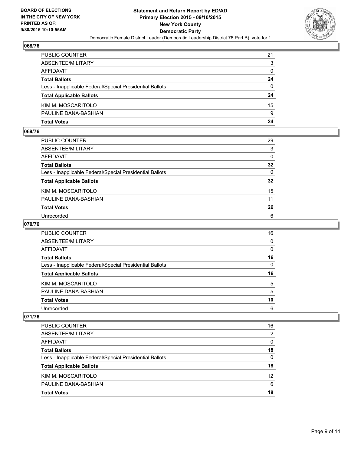

| PUBLIC COUNTER                                           | 21           |
|----------------------------------------------------------|--------------|
| ABSENTEE/MILITARY                                        | 3            |
| AFFIDAVIT                                                | 0            |
| Total Ballots                                            | 24           |
| Less - Inapplicable Federal/Special Presidential Ballots | $\mathbf{0}$ |
| <b>Total Applicable Ballots</b>                          | 24           |
| KIM M. MOSCARITOLO                                       | 15           |
| PAULINE DANA-BASHIAN                                     | 9            |
| Total Votes                                              | 24           |

## **069/76**

| PUBLIC COUNTER                                           | 29       |
|----------------------------------------------------------|----------|
| ABSENTEE/MILITARY                                        | 3        |
| AFFIDAVIT                                                | $\Omega$ |
| <b>Total Ballots</b>                                     | 32       |
| Less - Inapplicable Federal/Special Presidential Ballots | $\Omega$ |
| <b>Total Applicable Ballots</b>                          | 32       |
| KIM M. MOSCARITOLO                                       | 15       |
| PAULINE DANA-BASHIAN                                     | 11       |
| <b>Total Votes</b>                                       | 26       |
| Unrecorded                                               | 6        |
|                                                          |          |

## **070/76**

| <b>PUBLIC COUNTER</b>                                    | 16 |
|----------------------------------------------------------|----|
| ABSENTEE/MILITARY                                        | 0  |
| AFFIDAVIT                                                | 0  |
| <b>Total Ballots</b>                                     | 16 |
| Less - Inapplicable Federal/Special Presidential Ballots | 0  |
| <b>Total Applicable Ballots</b>                          | 16 |
| KIM M. MOSCARITOLO                                       | 5  |
| PAULINE DANA-BASHIAN                                     | 5  |
| <b>Total Votes</b>                                       | 10 |
| Unrecorded                                               | 6  |

| PUBLIC COUNTER                                           | 16 |
|----------------------------------------------------------|----|
| ABSENTEE/MILITARY                                        | 2  |
| AFFIDAVIT                                                | 0  |
| <b>Total Ballots</b>                                     | 18 |
| Less - Inapplicable Federal/Special Presidential Ballots | 0  |
| <b>Total Applicable Ballots</b>                          | 18 |
| KIM M. MOSCARITOLO                                       | 12 |
| PAULINE DANA-BASHIAN                                     | 6  |
| <b>Total Votes</b>                                       | 18 |
|                                                          |    |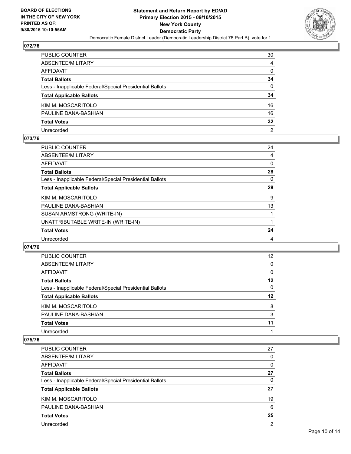

| PUBLIC COUNTER                                           | 30              |
|----------------------------------------------------------|-----------------|
| ABSENTEE/MILITARY                                        | 4               |
| AFFIDAVIT                                                | $\Omega$        |
| Total Ballots                                            | 34              |
| Less - Inapplicable Federal/Special Presidential Ballots | 0               |
| <b>Total Applicable Ballots</b>                          | 34              |
| KIM M. MOSCARITOLO                                       | 16              |
| PAULINE DANA-BASHIAN                                     | 16              |
| <b>Total Votes</b>                                       | $32\phantom{a}$ |
| Unrecorded                                               | $\overline{2}$  |

#### **073/76**

| PUBLIC COUNTER                                           | 24 |
|----------------------------------------------------------|----|
| ABSENTEE/MILITARY                                        | 4  |
| AFFIDAVIT                                                | 0  |
| Total Ballots                                            | 28 |
| Less - Inapplicable Federal/Special Presidential Ballots | 0  |
| <b>Total Applicable Ballots</b>                          | 28 |
| KIM M. MOSCARITOLO                                       | 9  |
| PAULINE DANA-BASHIAN                                     | 13 |
| SUSAN ARMSTRONG (WRITE-IN)                               |    |
| UNATTRIBUTABLE WRITE-IN (WRITE-IN)                       | 1  |
| <b>Total Votes</b>                                       | 24 |
| Unrecorded                                               | 4  |
|                                                          |    |

#### **074/76**

| <b>PUBLIC COUNTER</b>                                    | 12 <sup>2</sup> |
|----------------------------------------------------------|-----------------|
| ABSENTEE/MILITARY                                        | 0               |
| AFFIDAVIT                                                | 0               |
| <b>Total Ballots</b>                                     | 12              |
| Less - Inapplicable Federal/Special Presidential Ballots | $\Omega$        |
| <b>Total Applicable Ballots</b>                          | 12              |
| KIM M. MOSCARITOLO                                       | 8               |
| PAULINE DANA-BASHIAN                                     | 3               |
| <b>Total Votes</b>                                       | 11              |
|                                                          |                 |

| PUBLIC COUNTER                                           | 27             |
|----------------------------------------------------------|----------------|
| ABSENTEE/MILITARY                                        | 0              |
| AFFIDAVIT                                                | 0              |
| <b>Total Ballots</b>                                     | 27             |
| Less - Inapplicable Federal/Special Presidential Ballots | 0              |
| <b>Total Applicable Ballots</b>                          | 27             |
| KIM M. MOSCARITOLO                                       | 19             |
| PAULINE DANA-BASHIAN                                     | 6              |
| <b>Total Votes</b>                                       | 25             |
| Unrecorded                                               | $\overline{2}$ |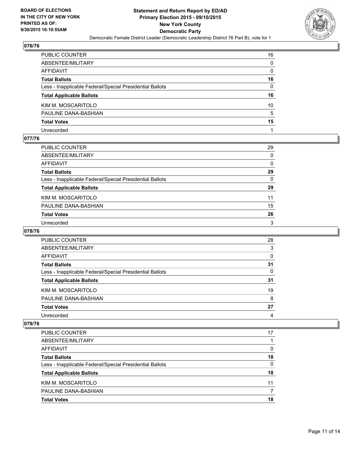

| PUBLIC COUNTER                                           | 16              |
|----------------------------------------------------------|-----------------|
| ABSENTEE/MILITARY                                        | $\mathbf{0}$    |
| AFFIDAVIT                                                | $\Omega$        |
| Total Ballots                                            | 16              |
| Less - Inapplicable Federal/Special Presidential Ballots | 0               |
| <b>Total Applicable Ballots</b>                          | 16              |
| KIM M. MOSCARITOLO                                       | 10 <sup>°</sup> |
| PAULINE DANA-BASHIAN                                     | 5               |
| <b>Total Votes</b>                                       | 15              |
| Unrecorded                                               |                 |

# **077/76**

| 29           |
|--------------|
| $\Omega$     |
| 0            |
| 29           |
| $\mathbf{0}$ |
| 29           |
| 11           |
| 15           |
|              |
| 26           |
|              |

## **078/76**

| PUBLIC COUNTER                                           | 28 |
|----------------------------------------------------------|----|
| ABSENTEE/MILITARY                                        | 3  |
| AFFIDAVIT                                                | 0  |
| <b>Total Ballots</b>                                     | 31 |
| Less - Inapplicable Federal/Special Presidential Ballots | 0  |
| <b>Total Applicable Ballots</b>                          | 31 |
| KIM M. MOSCARITOLO                                       | 19 |
| PAULINE DANA-BASHIAN                                     | 8  |
| <b>Total Votes</b>                                       | 27 |
| Unrecorded                                               | 4  |

| PUBLIC COUNTER                                           | 17 |
|----------------------------------------------------------|----|
| ABSENTEE/MILITARY                                        |    |
| AFFIDAVIT                                                | 0  |
| <b>Total Ballots</b>                                     | 18 |
| Less - Inapplicable Federal/Special Presidential Ballots | 0  |
| <b>Total Applicable Ballots</b>                          | 18 |
| KIM M. MOSCARITOLO                                       | 11 |
| PAULINE DANA-BASHIAN                                     |    |
| <b>Total Votes</b>                                       | 18 |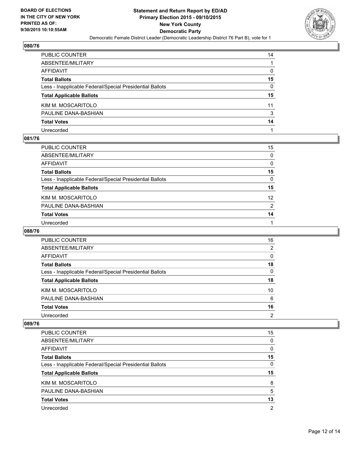

| PUBLIC COUNTER                                           | 14           |
|----------------------------------------------------------|--------------|
| ABSENTEE/MILITARY                                        |              |
| AFFIDAVIT                                                | $\mathbf{0}$ |
| Total Ballots                                            | 15           |
| Less - Inapplicable Federal/Special Presidential Ballots | 0            |
| <b>Total Applicable Ballots</b>                          | 15           |
| KIM M. MOSCARITOLO                                       | 11           |
| PAULINE DANA-BASHIAN                                     | 3            |
| <b>Total Votes</b>                                       | 14           |
| Unrecorded                                               |              |

## **081/76**

| PUBLIC COUNTER                                           | 15              |
|----------------------------------------------------------|-----------------|
| ABSENTEE/MILITARY                                        | 0               |
| AFFIDAVIT                                                | 0               |
| Total Ballots                                            | 15              |
| Less - Inapplicable Federal/Special Presidential Ballots | 0               |
| <b>Total Applicable Ballots</b>                          | 15              |
| KIM M. MOSCARITOLO                                       | 12 <sup>2</sup> |
| PAULINE DANA-BASHIAN                                     | 2               |
| <b>Total Votes</b>                                       | 14              |
| Unrecorded                                               | 1               |

#### **088/76**

| PUBLIC COUNTER                                           | 16 |
|----------------------------------------------------------|----|
| ABSENTEE/MILITARY                                        | 2  |
| AFFIDAVIT                                                | 0  |
| <b>Total Ballots</b>                                     | 18 |
| Less - Inapplicable Federal/Special Presidential Ballots | 0  |
| <b>Total Applicable Ballots</b>                          | 18 |
| KIM M. MOSCARITOLO                                       | 10 |
| PAULINE DANA-BASHIAN                                     | 6  |
| <b>Total Votes</b>                                       | 16 |
| Unrecorded                                               | 2  |
|                                                          |    |

| PUBLIC COUNTER                                           | 15 |
|----------------------------------------------------------|----|
| ABSENTEE/MILITARY                                        | 0  |
| <b>AFFIDAVIT</b>                                         | 0  |
| <b>Total Ballots</b>                                     | 15 |
| Less - Inapplicable Federal/Special Presidential Ballots | 0  |
| <b>Total Applicable Ballots</b>                          | 15 |
| KIM M. MOSCARITOLO                                       | 8  |
| PAULINE DANA-BASHIAN                                     | 5  |
| <b>Total Votes</b>                                       | 13 |
| Unrecorded                                               | 2  |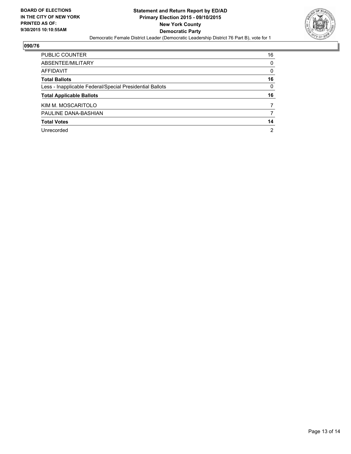

| PUBLIC COUNTER                                           | 16       |
|----------------------------------------------------------|----------|
| ABSENTEE/MILITARY                                        | 0        |
| AFFIDAVIT                                                | $\Omega$ |
| <b>Total Ballots</b>                                     | 16       |
| Less - Inapplicable Federal/Special Presidential Ballots | $\Omega$ |
| <b>Total Applicable Ballots</b>                          | 16       |
| KIM M. MOSCARITOLO                                       |          |
|                                                          |          |
| PAULINE DANA-BASHIAN                                     |          |
| <b>Total Votes</b>                                       | 14       |